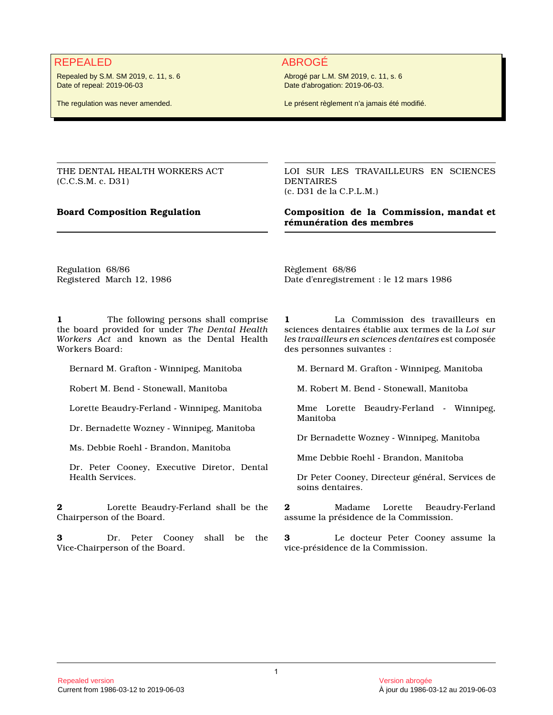## REPEALED ABROGÉ

Repealed by S.M. SM 2019, c. 11, s. 6 Date of repeal: 2019-06-03

The regulation was never amended.

Abrogé par L.M. SM 2019, c. 11, s. 6 Date d'abrogation: 2019-06-03.

Le présent règlement n'a jamais été modifié.

THE DENTAL HEALTH WORKERS ACT (C.C.S.M. c. D31)

LOI SUR LES TRAVAILLEURS EN SCIENCES DENTAIRES (c. D31 de la C.P.L.M.)

**Board Composition Regulation Composition de la Commission, mandat et rémunération des membres**

Regulation 68/86 Registered March 12, 1986 Règlement 68/86 Date d'enregistrement : le 12 mars 1986

**1** The following persons shall comprise the board provided for under *The Dental Health Workers Act* and known as the Dental Health Workers Board:

Bernard M. Grafton - Winnipeg, Manitoba

Robert M. Bend - Stonewall, Manitoba

Lorette Beaudry-Ferland - Winnipeg, Manitoba

Dr. Bernadette Wozney - Winnipeg, Manitoba

Ms. Debbie Roehl - Brandon, Manitoba

Dr. Peter Cooney, Executive Diretor, Dental Health Services.

**2** Lorette Beaudry-Ferland shall be the Chairperson of the Board.

**3** Dr. Peter Cooney shall be the Vice-Chairperson of the Board.

**1** La Commission des travailleurs en sciences dentaires établie aux termes de la *Loi sur les travailleurs en sciences dentaires* est composée des personnes suivantes :

M. Bernard M. Grafton - Winnipeg, Manitoba

M. Robert M. Bend - Stonewall, Manitoba

Mme Lorette Beaudry-Ferland - Winnipeg, Manitoba

Dr Bernadette Wozney - Winnipeg, Manitoba

Mme Debbie Roehl - Brandon, Manitoba

Dr Peter Cooney, Directeur général, Services de soins dentaires.

**2** Madame Lorette Beaudry-Ferland assume la présidence de la Commission.

**3** Le docteur Peter Cooney assume la vice-présidence de la Commission.